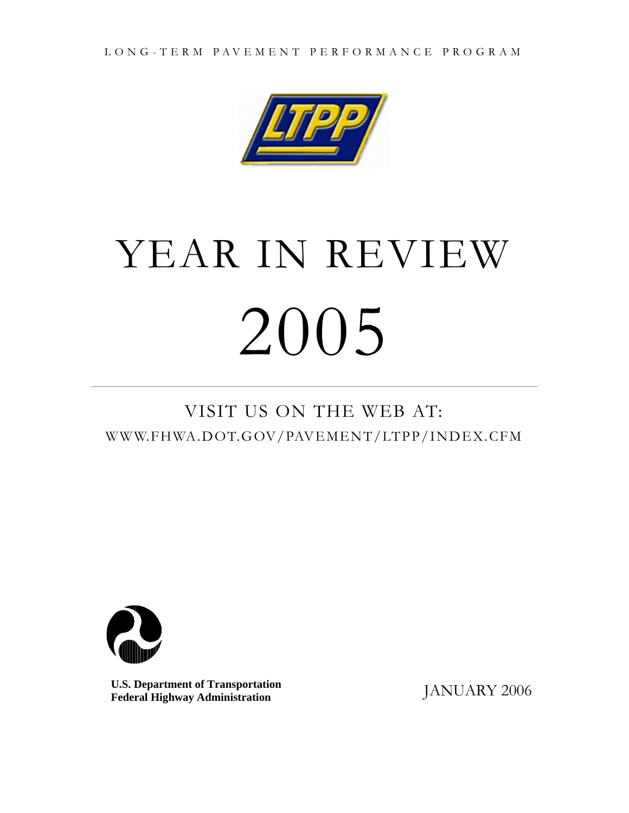

# YEAR IN REVIEW 2005

# VISIT US ON THE WEB AT: WWW.FHWA.DOT.GOV/PAVEMENT/LTPP/INDEX.CFM



**U.S. Department of Transportation** JANUARY 2006 **Federal Highway Administration**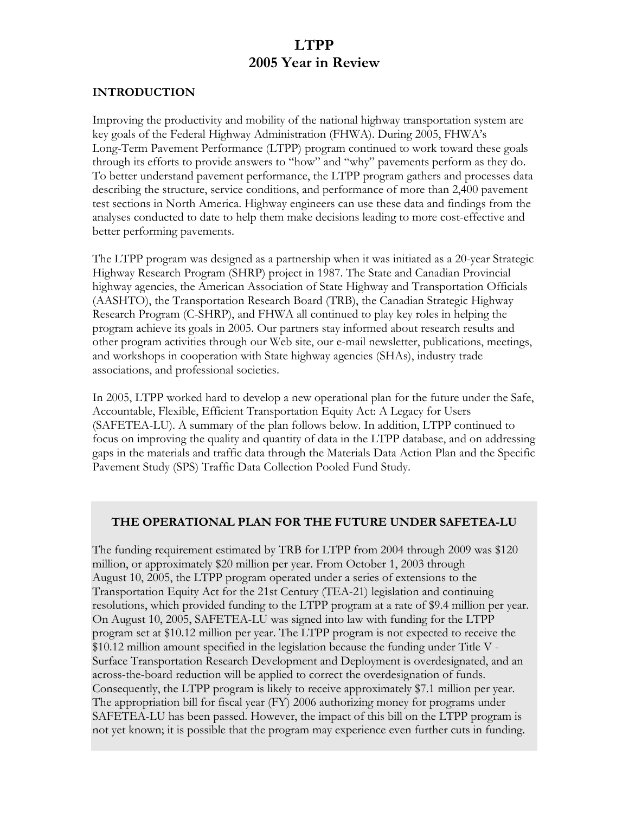## **LTPP 2005 Year in Review**

#### **INTRODUCTION**

Improving the productivity and mobility of the national highway transportation system are key goals of the Federal Highway Administration (FHWA). During 2005, FHWA's Long-Term Pavement Performance (LTPP) program continued to work toward these goals through its efforts to provide answers to "how" and "why" pavements perform as they do. To better understand pavement performance, the LTPP program gathers and processes data describing the structure, service conditions, and performance of more than 2,400 pavement test sections in North America. Highway engineers can use these data and findings from the analyses conducted to date to help them make decisions leading to more cost-effective and better performing pavements.

The LTPP program was designed as a partnership when it was initiated as a 20-year Strategic Highway Research Program (SHRP) project in 1987. The State and Canadian Provincial highway agencies, the American Association of State Highway and Transportation Officials (AASHTO), the Transportation Research Board (TRB), the Canadian Strategic Highway Research Program (C-SHRP), and FHWA all continued to play key roles in helping the program achieve its goals in 2005. Our partners stay informed about research results and other program activities through our Web site, our e-mail newsletter, publications, meetings, and workshops in cooperation with State highway agencies (SHAs), industry trade associations, and professional societies.

In 2005, LTPP worked hard to develop a new operational plan for the future under the Safe, Accountable, Flexible, Efficient Transportation Equity Act: A Legacy for Users (SAFETEA-LU). A summary of the plan follows below. In addition, LTPP continued to focus on improving the quality and quantity of data in the LTPP database, and on addressing gaps in the materials and traffic data through the Materials Data Action Plan and the Specific Pavement Study (SPS) Traffic Data Collection Pooled Fund Study.

#### **THE OPERATIONAL PLAN FOR THE FUTURE UNDER SAFETEA-LU**

The funding requirement estimated by TRB for LTPP from 2004 through 2009 was \$120 million, or approximately \$20 million per year. From October 1, 2003 through August 10, 2005, the LTPP program operated under a series of extensions to the Transportation Equity Act for the 21st Century (TEA-21) legislation and continuing resolutions, which provided funding to the LTPP program at a rate of \$9.4 million per year. On August 10, 2005, SAFETEA-LU was signed into law with funding for the LTPP program set at \$10.12 million per year. The LTPP program is not expected to receive the \$10.12 million amount specified in the legislation because the funding under Title V - Surface Transportation Research Development and Deployment is overdesignated, and an across-the-board reduction will be applied to correct the overdesignation of funds. Consequently, the LTPP program is likely to receive approximately \$7.1 million per year. The appropriation bill for fiscal year (FY) 2006 authorizing money for programs under SAFETEA-LU has been passed. However, the impact of this bill on the LTPP program is not yet known; it is possible that the program may experience even further cuts in funding.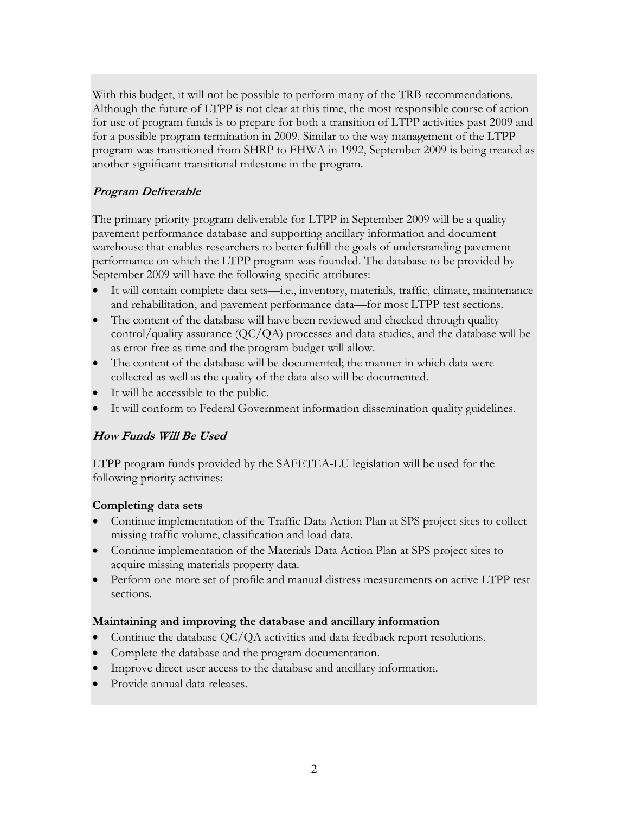With this budget, it will not be possible to perform many of the TRB recommendations. Although the future of LTPP is not clear at this time, the most responsible course of action for use of program funds is to prepare for both a transition of LTPP activities past 2009 and for a possible program termination in 2009. Similar to the way management of the LTPP program was transitioned from SHRP to FHWA in 1992, September 2009 is being treated as another significant transitional milestone in the program.

#### **Program Deliverable**

The primary priority program deliverable for LTPP in September 2009 will be a quality pavement performance database and supporting ancillary information and document warehouse that enables researchers to better fulfill the goals of understanding pavement performance on which the LTPP program was founded. The database to be provided by September 2009 will have the following specific attributes:

- It will contain complete data sets—i.e., inventory, materials, traffic, climate, maintenance and rehabilitation, and pavement performance data—for most LTPP test sections.
- The content of the database will have been reviewed and checked through quality control/quality assurance (QC/QA) processes and data studies, and the database will be as error-free as time and the program budget will allow.
- The content of the database will be documented; the manner in which data were collected as well as the quality of the data also will be documented.
- It will be accessible to the public.
- It will conform to Federal Government information dissemination quality guidelines.

#### **How Funds Will Be Used**

LTPP program funds provided by the SAFETEA-LU legislation will be used for the following priority activities:

#### **Completing data sets**

- Continue implementation of the Traffic Data Action Plan at SPS project sites to collect missing traffic volume, classification and load data.
- Continue implementation of the Materials Data Action Plan at SPS project sites to acquire missing materials property data.
- Perform one more set of profile and manual distress measurements on active LTPP test sections.

#### **Maintaining and improving the database and ancillary information**

- Continue the database QC/QA activities and data feedback report resolutions.
- Complete the database and the program documentation.
- Improve direct user access to the database and ancillary information.
- Provide annual data releases.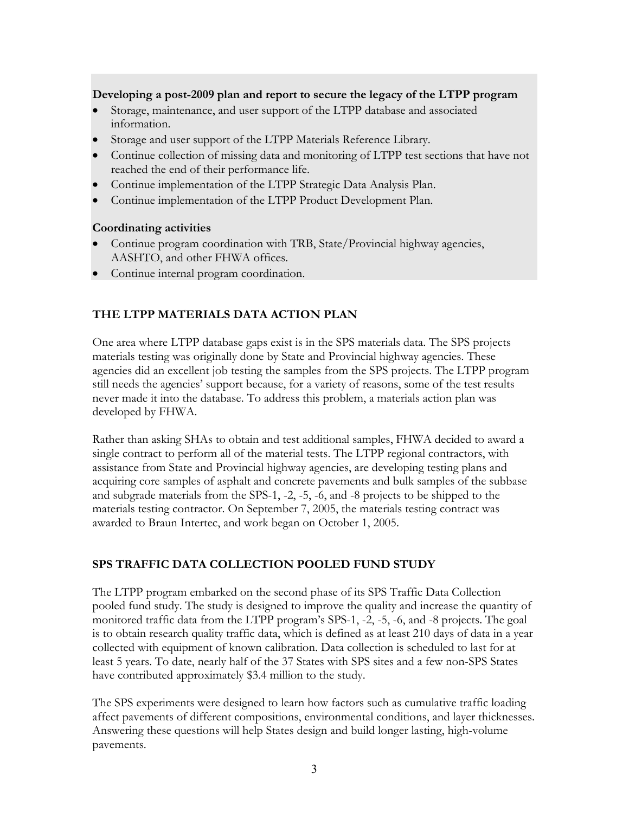#### **Developing a post-2009 plan and report to secure the legacy of the LTPP program**

- Storage, maintenance, and user support of the LTPP database and associated information.
- Storage and user support of the LTPP Materials Reference Library.
- Continue collection of missing data and monitoring of LTPP test sections that have not reached the end of their performance life.
- Continue implementation of the LTPP Strategic Data Analysis Plan.
- Continue implementation of the LTPP Product Development Plan.

#### **Coordinating activities**

- Continue program coordination with TRB, State/Provincial highway agencies, AASHTO, and other FHWA offices.
- Continue internal program coordination.

#### **THE LTPP MATERIALS DATA ACTION PLAN**

One area where LTPP database gaps exist is in the SPS materials data. The SPS projects materials testing was originally done by State and Provincial highway agencies. These agencies did an excellent job testing the samples from the SPS projects. The LTPP program still needs the agencies' support because, for a variety of reasons, some of the test results never made it into the database. To address this problem, a materials action plan was developed by FHWA.

Rather than asking SHAs to obtain and test additional samples, FHWA decided to award a single contract to perform all of the material tests. The LTPP regional contractors, with assistance from State and Provincial highway agencies, are developing testing plans and acquiring core samples of asphalt and concrete pavements and bulk samples of the subbase and subgrade materials from the SPS-1, -2, -5, -6, and -8 projects to be shipped to the materials testing contractor. On September 7, 2005, the materials testing contract was awarded to Braun Intertec, and work began on October 1, 2005.

#### **SPS TRAFFIC DATA COLLECTION POOLED FUND STUDY**

The LTPP program embarked on the second phase of its SPS Traffic Data Collection pooled fund study. The study is designed to improve the quality and increase the quantity of monitored traffic data from the LTPP program's SPS-1, -2, -5, -6, and -8 projects. The goal is to obtain research quality traffic data, which is defined as at least 210 days of data in a year collected with equipment of known calibration. Data collection is scheduled to last for at least 5 years. To date, nearly half of the 37 States with SPS sites and a few non-SPS States have contributed approximately \$3.4 million to the study.

The SPS experiments were designed to learn how factors such as cumulative traffic loading affect pavements of different compositions, environmental conditions, and layer thicknesses. Answering these questions will help States design and build longer lasting, high-volume pavements.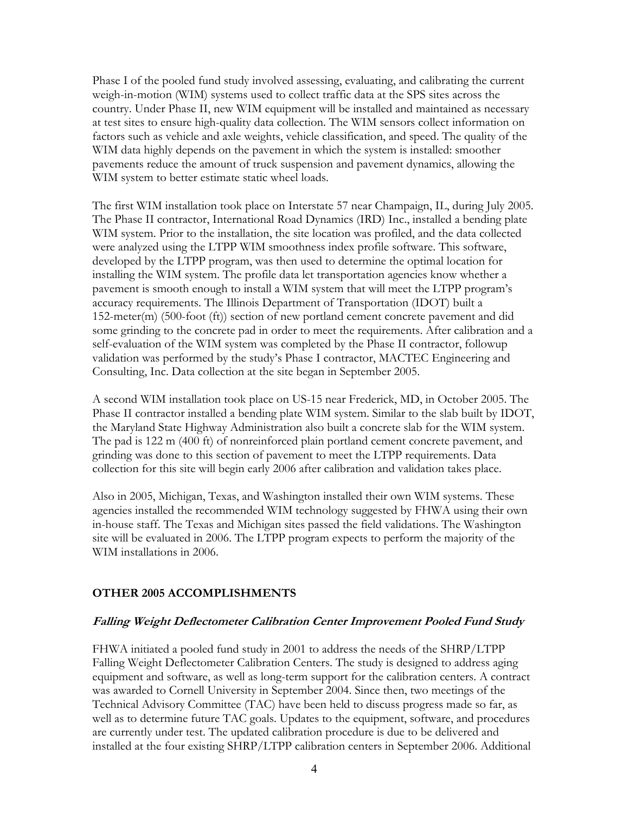Phase I of the pooled fund study involved assessing, evaluating, and calibrating the current weigh-in-motion (WIM) systems used to collect traffic data at the SPS sites across the country. Under Phase II, new WIM equipment will be installed and maintained as necessary at test sites to ensure high-quality data collection. The WIM sensors collect information on factors such as vehicle and axle weights, vehicle classification, and speed. The quality of the WIM data highly depends on the pavement in which the system is installed: smoother pavements reduce the amount of truck suspension and pavement dynamics, allowing the WIM system to better estimate static wheel loads.

The first WIM installation took place on Interstate 57 near Champaign, IL, during July 2005. The Phase II contractor, International Road Dynamics (IRD) Inc., installed a bending plate WIM system. Prior to the installation, the site location was profiled, and the data collected were analyzed using the LTPP WIM smoothness index profile software. This software, developed by the LTPP program, was then used to determine the optimal location for installing the WIM system. The profile data let transportation agencies know whether a pavement is smooth enough to install a WIM system that will meet the LTPP program's accuracy requirements. The Illinois Department of Transportation (IDOT) built a 152-meter(m) (500-foot (ft)) section of new portland cement concrete pavement and did some grinding to the concrete pad in order to meet the requirements. After calibration and a self-evaluation of the WIM system was completed by the Phase II contractor, followup validation was performed by the study's Phase I contractor, MACTEC Engineering and Consulting, Inc. Data collection at the site began in September 2005.

A second WIM installation took place on US-15 near Frederick, MD, in October 2005. The Phase II contractor installed a bending plate WIM system. Similar to the slab built by IDOT, the Maryland State Highway Administration also built a concrete slab for the WIM system. The pad is 122 m (400 ft) of nonreinforced plain portland cement concrete pavement, and grinding was done to this section of pavement to meet the LTPP requirements. Data collection for this site will begin early 2006 after calibration and validation takes place.

Also in 2005, Michigan, Texas, and Washington installed their own WIM systems. These agencies installed the recommended WIM technology suggested by FHWA using their own in-house staff. The Texas and Michigan sites passed the field validations. The Washington site will be evaluated in 2006. The LTPP program expects to perform the majority of the WIM installations in 2006.

#### **OTHER 2005 ACCOMPLISHMENTS**

#### **Falling Weight Deflectometer Calibration Center Improvement Pooled Fund Study**

FHWA initiated a pooled fund study in 2001 to address the needs of the SHRP/LTPP Falling Weight Deflectometer Calibration Centers. The study is designed to address aging equipment and software, as well as long-term support for the calibration centers. A contract was awarded to Cornell University in September 2004. Since then, two meetings of the Technical Advisory Committee (TAC) have been held to discuss progress made so far, as well as to determine future TAC goals. Updates to the equipment, software, and procedures are currently under test. The updated calibration procedure is due to be delivered and installed at the four existing SHRP/LTPP calibration centers in September 2006. Additional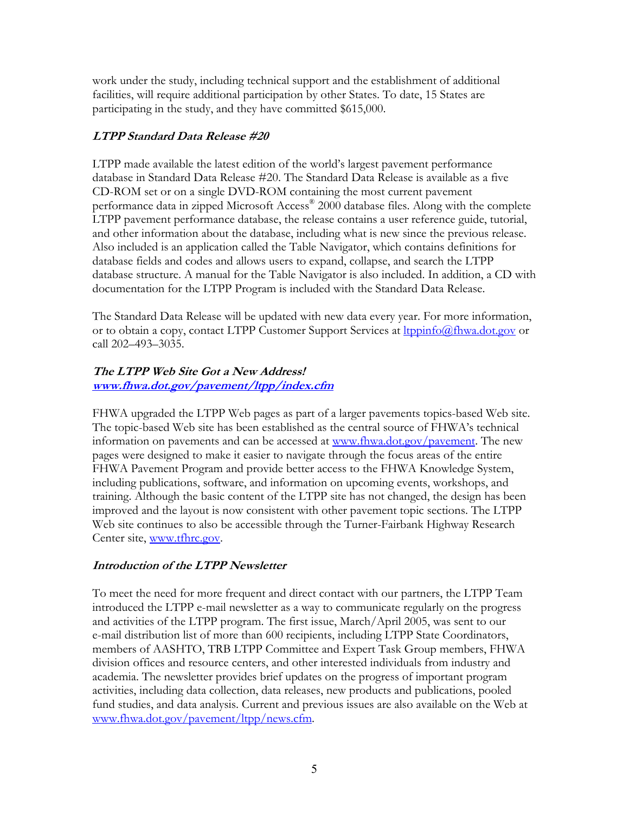work under the study, including technical support and the establishment of additional facilities, will require additional participation by other States. To date, 15 States are participating in the study, and they have committed \$615,000.

#### **LTPP Standard Data Release #20**

LTPP made available the latest edition of the world's largest pavement performance database in Standard Data Release #20. The Standard Data Release is available as a five CD-ROM set or on a single DVD-ROM containing the most current pavement performance data in zipped Microsoft Access® 2000 database files. Along with the complete LTPP pavement performance database, the release contains a user reference guide, tutorial, and other information about the database, including what is new since the previous release. Also included is an application called the Table Navigator, which contains definitions for database fields and codes and allows users to expand, collapse, and search the LTPP database structure. A manual for the Table Navigator is also included. In addition, a CD with documentation for the LTPP Program is included with the Standard Data Release.

The Standard Data Release will be updated with new data every year. For more information, or to obtain a copy, contact LTPP Customer Support Services at **[ltppinfo@fhwa.dot.gov](mailto:ltppinfo@fhwa.dot.gov)** or call 202–493–3035.

# **The LTPP Web Site Got a New Address!**

**[www.fhwa.dot.gov/pavement/ltpp/index.cfm](http://www.fhwa.dot.gov/)**

FHWA upgraded the LTPP Web pages as part of a larger pavements topics-based Web site. The topic-based Web site has been established as the central source of FHWA's technical information on pavements and can be accessed at [www.fhwa.dot.gov/pavement.](http://www.fhwa.dot.gov/) The new pages were designed to make it easier to navigate through the focus areas of the entire FHWA Pavement Program and provide better access to the FHWA Knowledge System, including publications, software, and information on upcoming events, workshops, and training. Although the basic content of the LTPP site has not changed, the design has been improved and the layout is now consistent with other pavement topic sections. The LTPP Web site continues to also be accessible through the Turner-Fairbank Highway Research Center site, [www.tfhrc.gov](http://www.tfhrc.gov/).

#### **Introduction of the LTPP Newsletter**

To meet the need for more frequent and direct contact with our partners, the LTPP Team introduced the LTPP e-mail newsletter as a way to communicate regularly on the progress and activities of the LTPP program. The first issue, March/April 2005, was sent to our e-mail distribution list of more than 600 recipients, including LTPP State Coordinators, members of AASHTO, TRB LTPP Committee and Expert Task Group members, FHWA division offices and resource centers, and other interested individuals from industry and academia. The newsletter provides brief updates on the progress of important program activities, including data collection, data releases, new products and publications, pooled fund studies, and data analysis. Current and previous issues are also available on the Web at [www.fhwa.dot.gov/pavement/ltpp/news.cfm.](http://www.fhwa.dot.gov/pavement/ltpp/news.cfm)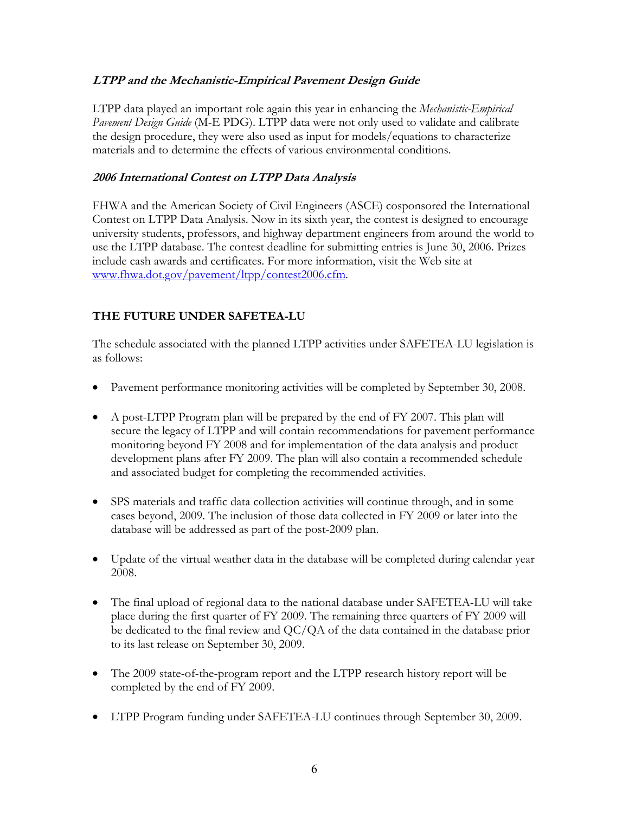#### **LTPP and the Mechanistic-Empirical Pavement Design Guide**

LTPP data played an important role again this year in enhancing the *Mechanistic-Empirical Pavement Design Guide* (M-E PDG). LTPP data were not only used to validate and calibrate the design procedure, they were also used as input for models/equations to characterize materials and to determine the effects of various environmental conditions.

#### **2006 International Contest on LTPP Data Analysis**

FHWA and the American Society of Civil Engineers (ASCE) cosponsored the International Contest on LTPP Data Analysis. Now in its sixth year, the contest is designed to encourage university students, professors, and highway department engineers from around the world to use the LTPP database. The contest deadline for submitting entries is June 30, 2006. Prizes include cash awards and certificates. For more information, visit the Web site at [www.fhwa.dot.gov/pavement/ltpp/contest2006.cfm](http://www.fhwa.dot.gov/pavement/ltpp/contest2006.cfm).

#### **THE FUTURE UNDER SAFETEA-LU**

The schedule associated with the planned LTPP activities under SAFETEA-LU legislation is as follows:

- Pavement performance monitoring activities will be completed by September 30, 2008.
- A post-LTPP Program plan will be prepared by the end of FY 2007. This plan will secure the legacy of LTPP and will contain recommendations for pavement performance monitoring beyond FY 2008 and for implementation of the data analysis and product development plans after FY 2009. The plan will also contain a recommended schedule and associated budget for completing the recommended activities.
- SPS materials and traffic data collection activities will continue through, and in some cases beyond, 2009. The inclusion of those data collected in FY 2009 or later into the database will be addressed as part of the post-2009 plan.
- Update of the virtual weather data in the database will be completed during calendar year 2008.
- The final upload of regional data to the national database under SAFETEA-LU will take place during the first quarter of FY 2009. The remaining three quarters of FY 2009 will be dedicated to the final review and QC/QA of the data contained in the database prior to its last release on September 30, 2009.
- The 2009 state-of-the-program report and the LTPP research history report will be completed by the end of FY 2009.
- LTPP Program funding under SAFETEA-LU continues through September 30, 2009.